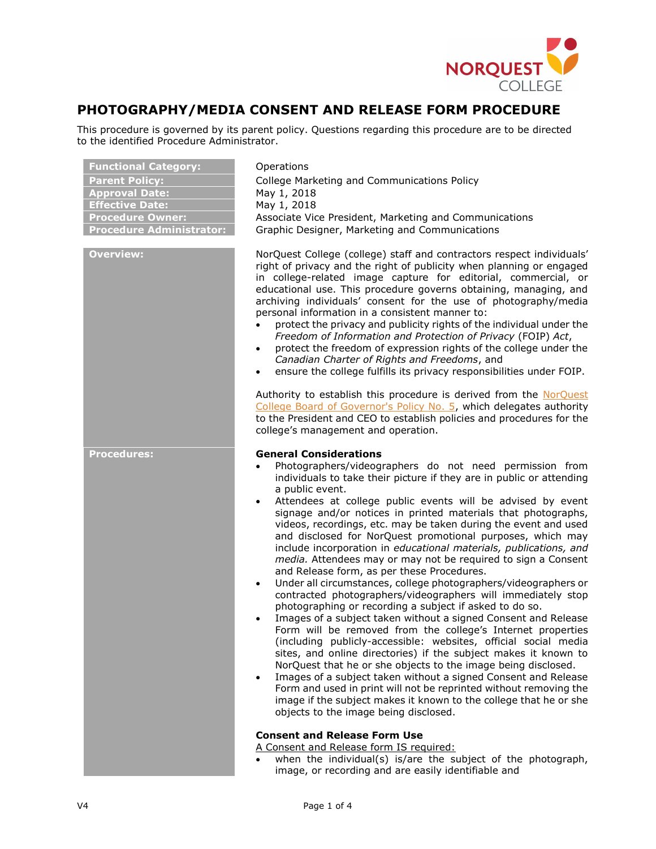

# PHOTOGRAPHY/MEDIA CONSENT AND RELEASE FORM PROCEDURE

This procedure is governed by its parent policy. Questions regarding this procedure are to be directed to the identified Procedure Administrator.

| <b>Functional Category:</b><br><b>Parent Policy:</b><br><b>Approval Date:</b><br><b>Effective Date:</b><br><b>Procedure Owner:</b><br><b>Procedure Administrator:</b> | Operations<br>College Marketing and Communications Policy<br>May 1, 2018<br>May 1, 2018<br>Associate Vice President, Marketing and Communications<br>Graphic Designer, Marketing and Communications                                                                                                                                                                                                                                                                                                                                                                                                                                                                                                                                                                                                                                                                                                                                                                                                                                                                                                                                                                                                                                                                                                                                                                                                                                                           |
|-----------------------------------------------------------------------------------------------------------------------------------------------------------------------|---------------------------------------------------------------------------------------------------------------------------------------------------------------------------------------------------------------------------------------------------------------------------------------------------------------------------------------------------------------------------------------------------------------------------------------------------------------------------------------------------------------------------------------------------------------------------------------------------------------------------------------------------------------------------------------------------------------------------------------------------------------------------------------------------------------------------------------------------------------------------------------------------------------------------------------------------------------------------------------------------------------------------------------------------------------------------------------------------------------------------------------------------------------------------------------------------------------------------------------------------------------------------------------------------------------------------------------------------------------------------------------------------------------------------------------------------------------|
| <b>Overview:</b>                                                                                                                                                      | NorQuest College (college) staff and contractors respect individuals'<br>right of privacy and the right of publicity when planning or engaged<br>in college-related image capture for editorial, commercial, or<br>educational use. This procedure governs obtaining, managing, and<br>archiving individuals' consent for the use of photography/media<br>personal information in a consistent manner to:<br>protect the privacy and publicity rights of the individual under the<br>Freedom of Information and Protection of Privacy (FOIP) Act,<br>protect the freedom of expression rights of the college under the<br>$\bullet$<br>Canadian Charter of Rights and Freedoms, and<br>ensure the college fulfills its privacy responsibilities under FOIP.<br>$\bullet$                                                                                                                                                                                                                                                                                                                                                                                                                                                                                                                                                                                                                                                                                      |
|                                                                                                                                                                       | Authority to establish this procedure is derived from the NorQuest<br>College Board of Governor's Policy No. 5, which delegates authority<br>to the President and CEO to establish policies and procedures for the<br>college's management and operation.                                                                                                                                                                                                                                                                                                                                                                                                                                                                                                                                                                                                                                                                                                                                                                                                                                                                                                                                                                                                                                                                                                                                                                                                     |
| <b>Procedures:</b>                                                                                                                                                    | <b>General Considerations</b><br>Photographers/videographers do not need permission from<br>individuals to take their picture if they are in public or attending<br>a public event.<br>Attendees at college public events will be advised by event<br>$\bullet$<br>signage and/or notices in printed materials that photographs,<br>videos, recordings, etc. may be taken during the event and used<br>and disclosed for NorQuest promotional purposes, which may<br>include incorporation in educational materials, publications, and<br>media. Attendees may or may not be required to sign a Consent<br>and Release form, as per these Procedures.<br>Under all circumstances, college photographers/videographers or<br>$\bullet$<br>contracted photographers/videographers will immediately stop<br>photographing or recording a subject if asked to do so.<br>Images of a subject taken without a signed Consent and Release<br>Form will be removed from the college's Internet properties<br>(including publicly-accessible: websites, official social media<br>sites, and online directories) if the subject makes it known to<br>NorQuest that he or she objects to the image being disclosed.<br>Images of a subject taken without a signed Consent and Release<br>Form and used in print will not be reprinted without removing the<br>image if the subject makes it known to the college that he or she<br>objects to the image being disclosed. |
|                                                                                                                                                                       | <b>Consent and Release Form Use</b><br>A Consent and Release form IS required:<br>when the individual(s) is/are the subject of the photograph,<br>image, or recording and are easily identifiable and                                                                                                                                                                                                                                                                                                                                                                                                                                                                                                                                                                                                                                                                                                                                                                                                                                                                                                                                                                                                                                                                                                                                                                                                                                                         |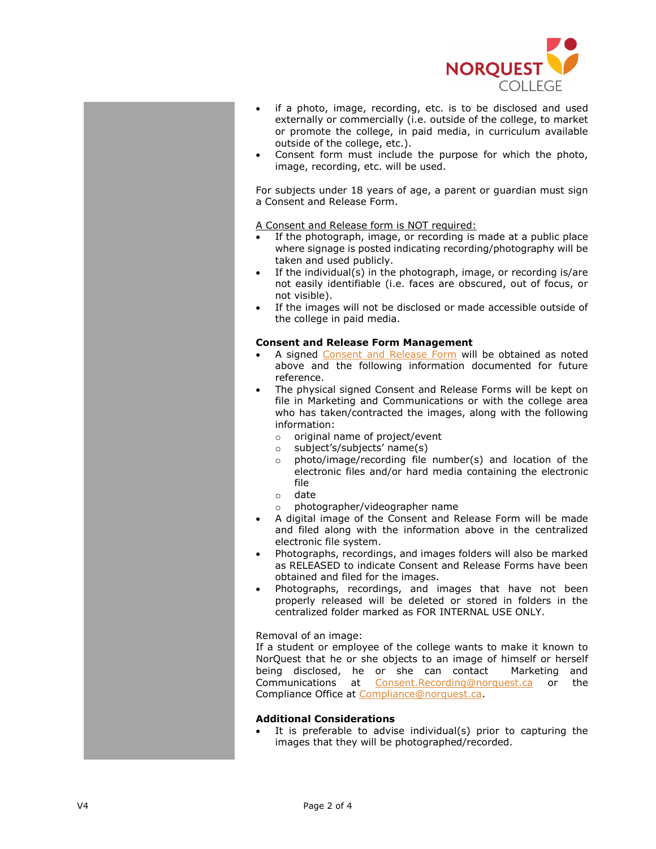

- if a photo, image, recording, etc. is to be disclosed and used externally or commercially (i.e. outside of the college, to market or promote the college, in paid media, in curriculum available outside of the college, etc.).
- Consent form must include the purpose for which the photo, image, recording, etc. will be used.

For subjects under 18 years of age, a parent or guardian must sign a Consent and Release Form.

A Consent and Release form is NOT required:

- If the photograph, image, or recording is made at a public place where signage is posted indicating recording/photography will be taken and used publicly.
- If the individual(s) in the photograph, image, or recording is/are not easily identifiable (i.e. faces are obscured, out of focus, or not visible).
- If the images will not be disclosed or made accessible outside of the college in paid media.

#### Consent and Release Form Management

- A signed Consent and Release Form will be obtained as noted above and the following information documented for future reference.
- The physical signed Consent and Release Forms will be kept on file in Marketing and Communications or with the college area who has taken/contracted the images, along with the following information:
	- o original name of project/event
	- o subject's/subjects' name(s)
	- o photo/image/recording file number(s) and location of the electronic files and/or hard media containing the electronic file
	- o date
	- o photographer/videographer name
- A digital image of the Consent and Release Form will be made and filed along with the information above in the centralized electronic file system.
- Photographs, recordings, and images folders will also be marked as RELEASED to indicate Consent and Release Forms have been obtained and filed for the images.
- Photographs, recordings, and images that have not been properly released will be deleted or stored in folders in the centralized folder marked as FOR INTERNAL USE ONLY.

Removal of an image:

If a student or employee of the college wants to make it known to NorQuest that he or she objects to an image of himself or herself being disclosed, he or she can contact Marketing and Communications at Consent.Recording@norquest.ca or the Compliance Office at Compliance@norquest.ca.

### Additional Considerations

 It is preferable to advise individual(s) prior to capturing the images that they will be photographed/recorded.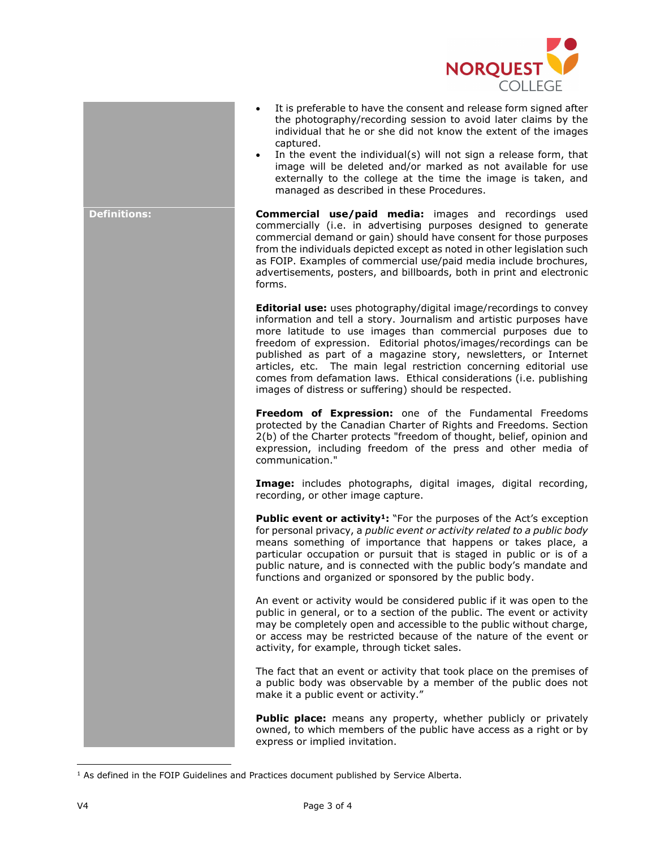

- It is preferable to have the consent and release form signed after the photography/recording session to avoid later claims by the individual that he or she did not know the extent of the images captured.
- In the event the individual(s) will not sign a release form, that image will be deleted and/or marked as not available for use externally to the college at the time the image is taken, and managed as described in these Procedures.

Definitions: **Commercial use/paid media:** images and recordings used commercially (i.e. in advertising purposes designed to generate commercial demand or gain) should have consent for those purposes from the individuals depicted except as noted in other legislation such as FOIP. Examples of commercial use/paid media include brochures, advertisements, posters, and billboards, both in print and electronic forms.

> **Editorial use:** uses photography/digital image/recordings to convey information and tell a story. Journalism and artistic purposes have more latitude to use images than commercial purposes due to freedom of expression. Editorial photos/images/recordings can be published as part of a magazine story, newsletters, or Internet articles, etc. The main legal restriction concerning editorial use comes from defamation laws. Ethical considerations (i.e. publishing images of distress or suffering) should be respected.

> Freedom of Expression: one of the Fundamental Freedoms protected by the Canadian Charter of Rights and Freedoms. Section 2(b) of the Charter protects "freedom of thought, belief, opinion and expression, including freedom of the press and other media of communication."

> Image: includes photographs, digital images, digital recording, recording, or other image capture.

> Public event or activity<sup>1</sup>: "For the purposes of the Act's exception for personal privacy, a public event or activity related to a public body means something of importance that happens or takes place, a particular occupation or pursuit that is staged in public or is of a public nature, and is connected with the public body's mandate and functions and organized or sponsored by the public body.

> An event or activity would be considered public if it was open to the public in general, or to a section of the public. The event or activity may be completely open and accessible to the public without charge, or access may be restricted because of the nature of the event or activity, for example, through ticket sales.

> The fact that an event or activity that took place on the premises of a public body was observable by a member of the public does not make it a public event or activity."

> Public place: means any property, whether publicly or privately owned, to which members of the public have access as a right or by express or implied invitation.

 $\overline{a}$ 

<sup>&</sup>lt;sup>1</sup> As defined in the FOIP Guidelines and Practices document published by Service Alberta.